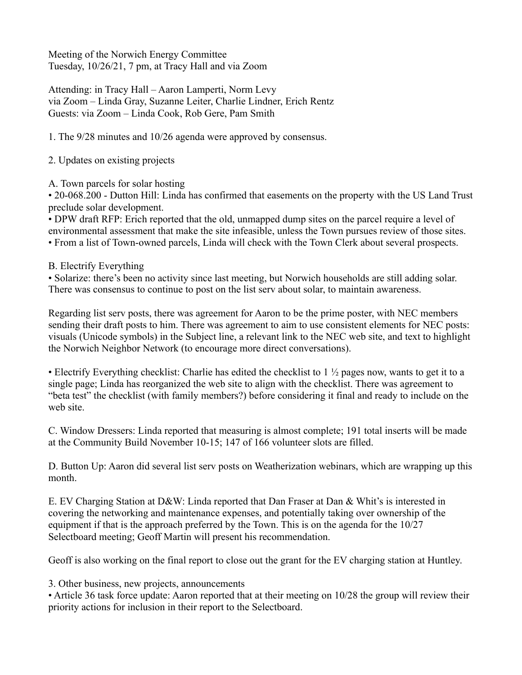Meeting of the Norwich Energy Committee Tuesday, 10/26/21, 7 pm, at Tracy Hall and via Zoom

Attending: in Tracy Hall – Aaron Lamperti, Norm Levy via Zoom – Linda Gray, Suzanne Leiter, Charlie Lindner, Erich Rentz Guests: via Zoom – Linda Cook, Rob Gere, Pam Smith

1. The 9/28 minutes and 10/26 agenda were approved by consensus.

2. Updates on existing projects

A. Town parcels for solar hosting

• 20-068.200 - Dutton Hill: Linda has confirmed that easements on the property with the US Land Trust preclude solar development.

• DPW draft RFP: Erich reported that the old, unmapped dump sites on the parcel require a level of environmental assessment that make the site infeasible, unless the Town pursues review of those sites. • From a list of Town-owned parcels, Linda will check with the Town Clerk about several prospects.

B. Electrify Everything

• Solarize: there's been no activity since last meeting, but Norwich households are still adding solar. There was consensus to continue to post on the list serv about solar, to maintain awareness.

Regarding list serv posts, there was agreement for Aaron to be the prime poster, with NEC members sending their draft posts to him. There was agreement to aim to use consistent elements for NEC posts: visuals (Unicode symbols) in the Subject line, a relevant link to the NEC web site, and text to highlight the Norwich Neighbor Network (to encourage more direct conversations).

• Electrify Everything checklist: Charlie has edited the checklist to  $1 \frac{1}{2}$  pages now, wants to get it to a single page; Linda has reorganized the web site to align with the checklist. There was agreement to "beta test" the checklist (with family members?) before considering it final and ready to include on the web site.

C. Window Dressers: Linda reported that measuring is almost complete; 191 total inserts will be made at the Community Build November 10-15; 147 of 166 volunteer slots are filled.

D. Button Up: Aaron did several list serv posts on Weatherization webinars, which are wrapping up this month.

E. EV Charging Station at D&W: Linda reported that Dan Fraser at Dan & Whit's is interested in covering the networking and maintenance expenses, and potentially taking over ownership of the equipment if that is the approach preferred by the Town. This is on the agenda for the 10/27 Selectboard meeting; Geoff Martin will present his recommendation.

Geoff is also working on the final report to close out the grant for the EV charging station at Huntley.

3. Other business, new projects, announcements

• Article 36 task force update: Aaron reported that at their meeting on 10/28 the group will review their priority actions for inclusion in their report to the Selectboard.